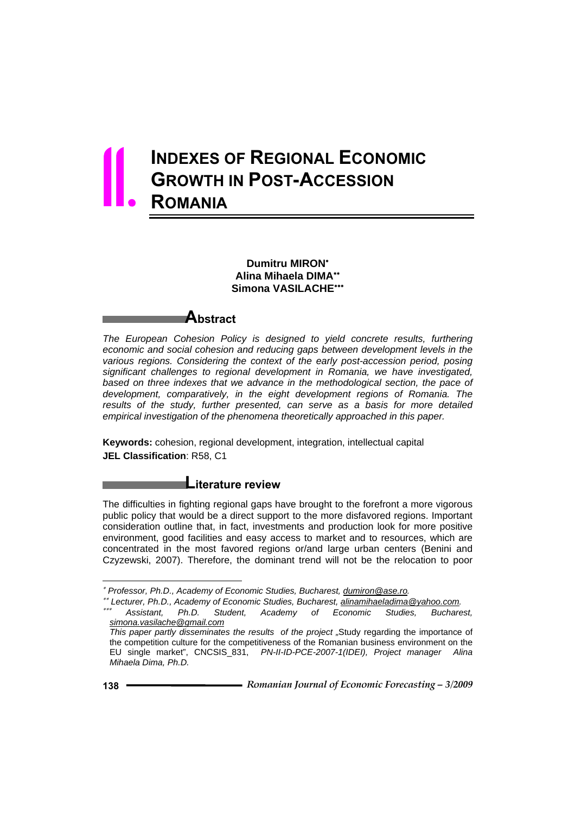# **INDEXES OF REGIONAL ECONOMIC GROWTH IN POST-ACCESSION ROMANIA** 11.

# **Dumitru MIRON**<sup>∗</sup> **Alina Mihaela DIMA**∗∗ **Simona VASILACHE**∗∗∗

**Abstract** 

*The European Cohesion Policy is designed to yield concrete results, furthering economic and social cohesion and reducing gaps between development levels in the various regions. Considering the context of the early post-accession period, posing significant challenges to regional development in Romania, we have investigated, based on three indexes that we advance in the methodological section, the pace of development, comparatively, in the eight development regions of Romania. The results of the study, further presented, can serve as a basis for more detailed empirical investigation of the phenomena theoretically approached in this paper.* 

**Keywords:** cohesion, regional development, integration, intellectual capital **JEL Classification**: R58, C1

# **Literature review**

The difficulties in fighting regional gaps have brought to the forefront a more vigorous public policy that would be a direct support to the more disfavored regions. Important consideration outline that, in fact, investments and production look for more positive environment, good facilities and easy access to market and to resources, which are concentrated in the most favored regions or/and large urban centers (Benini and Czyzewski, 2007). Therefore, the dominant trend will not be the relocation to poor

l

<sup>∗</sup> *Professor, Ph.D., Academy of Economic Studies, Bucharest, dumiron@ase.ro.* 

<sup>∗∗</sup> *Lecturer, Ph.D., Academy of Economic Studies, Bucharest, alinamihaeladima@yahoo.com.* 

<sup>∗∗∗</sup> *Assistant, Ph.D. Student, Academy of Economic Studies, Bucharest, simona.vasilache@gmail.com*

*This paper partly disseminates the results of the project "*Study regarding the importance of the competition culture for the competitiveness of the Romanian business environment on the EU single market", CNCSIS\_831, *PN-II-ID-PCE-2007-1(IDEI), Project manager Alina Mihaela Dima, Ph.D.*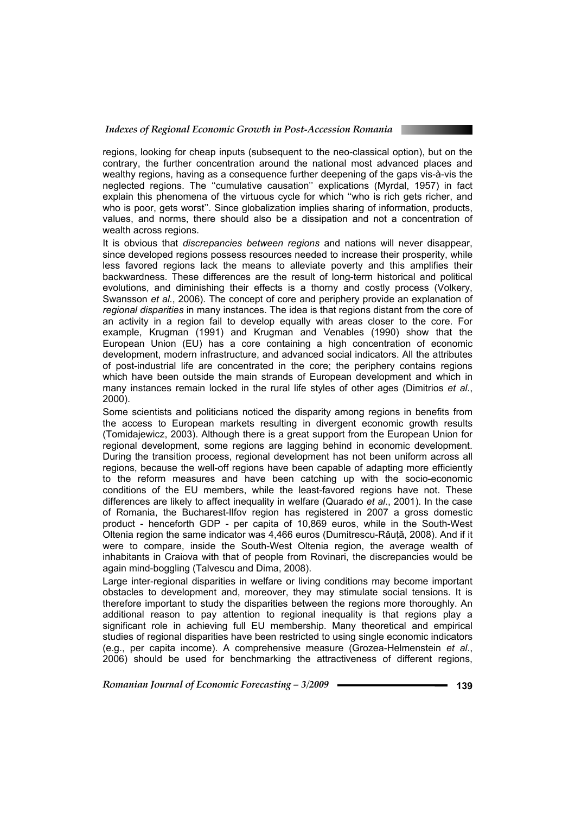

It is obvious that *discrepancies between regions* and nations will never disappear, since developed regions possess resources needed to increase their prosperity, while less favored regions lack the means to alleviate poverty and this amplifies their backwardness. These differences are the result of long-term historical and political evolutions, and diminishing their effects is a thorny and costly process (Volkery, Swansson *et al.*, 2006). The concept of core and periphery provide an explanation of *regional disparities* in many instances. The idea is that regions distant from the core of an activity in a region fail to develop equally with areas closer to the core. For example, Krugman (1991) and Krugman and Venables (1990) show that the European Union (EU) has a core containing a high concentration of economic development, modern infrastructure, and advanced social indicators. All the attributes of post-industrial life are concentrated in the core; the periphery contains regions which have been outside the main strands of European development and which in many instances remain locked in the rural life styles of other ages (Dimitrios *et al*., 2000).

Some scientists and politicians noticed the disparity among regions in benefits from the access to European markets resulting in divergent economic growth results (Tomidajewicz, 2003). Although there is a great support from the European Union for regional development, some regions are lagging behind in economic development. During the transition process, regional development has not been uniform across all regions, because the well-off regions have been capable of adapting more efficiently to the reform measures and have been catching up with the socio-economic conditions of the EU members, while the least-favored regions have not. These differences are likely to affect inequality in welfare (Quarado *et al*., 2001). In the case of Romania, the Bucharest-Ilfov region has registered in 2007 a gross domestic product - henceforth GDP - per capita of 10,869 euros, while in the South-West Oltenia region the same indicator was 4,466 euros (Dumitrescu-Răuţă, 2008). And if it were to compare, inside the South-West Oltenia region, the average wealth of inhabitants in Craiova with that of people from Rovinari, the discrepancies would be again mind-boggling (Talvescu and Dima, 2008).

Large inter-regional disparities in welfare or living conditions may become important obstacles to development and, moreover, they may stimulate social tensions. It is therefore important to study the disparities between the regions more thoroughly. An additional reason to pay attention to regional inequality is that regions play a significant role in achieving full EU membership. Many theoretical and empirical studies of regional disparities have been restricted to using single economic indicators (e.g., per capita income). A comprehensive measure (Grozea-Helmenstein *et al*., 2006) should be used for benchmarking the attractiveness of different regions,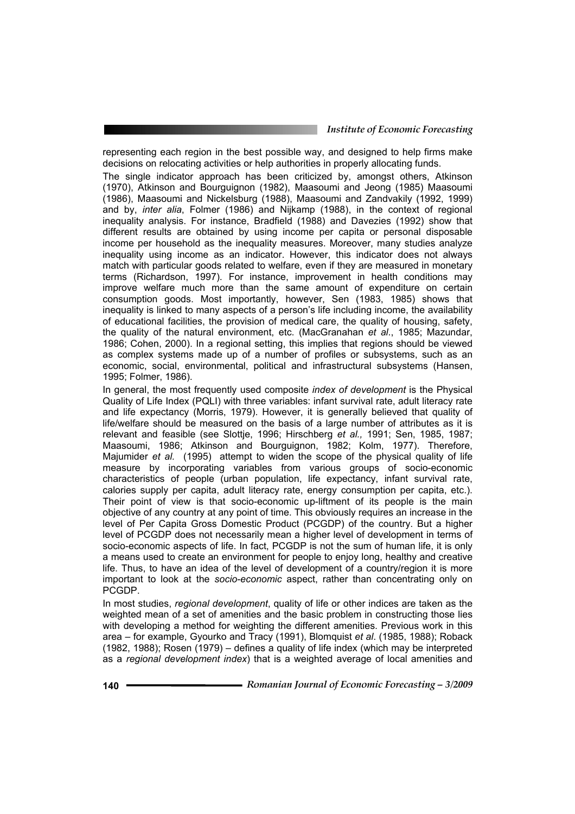representing each region in the best possible way, and designed to help firms make decisions on relocating activities or help authorities in properly allocating funds.

The single indicator approach has been criticized by, amongst others, Atkinson (1970), Atkinson and Bourguignon (1982), Maasoumi and Jeong (1985) Maasoumi (1986), Maasoumi and Nickelsburg (1988), Maasoumi and Zandvakily (1992, 1999) and by, *inter alia*, Folmer (1986) and Nijkamp (1988), in the context of regional inequality analysis. For instance, Bradfield (1988) and Davezies (1992) show that different results are obtained by using income per capita or personal disposable income per household as the inequality measures. Moreover, many studies analyze inequality using income as an indicator. However, this indicator does not always match with particular goods related to welfare, even if they are measured in monetary terms (Richardson, 1997). For instance, improvement in health conditions may improve welfare much more than the same amount of expenditure on certain consumption goods. Most importantly, however, Sen (1983, 1985) shows that inequality is linked to many aspects of a person's life including income, the availability of educational facilities, the provision of medical care, the quality of housing, safety, the quality of the natural environment, etc. (MacGranahan *et al*., 1985; Mazundar, 1986; Cohen, 2000). In a regional setting, this implies that regions should be viewed as complex systems made up of a number of profiles or subsystems, such as an economic, social, environmental, political and infrastructural subsystems (Hansen, 1995; Folmer, 1986).

In general, the most frequently used composite *index of development* is the Physical Quality of Life Index (PQLI) with three variables: infant survival rate, adult literacy rate and life expectancy (Morris, 1979). However, it is generally believed that quality of life/welfare should be measured on the basis of a large number of attributes as it is relevant and feasible (see Slottje, 1996; Hirschberg *et al.,* 1991; Sen, 1985, 1987; Maasoumi, 1986; Atkinson and Bourguignon, 1982; Kolm, 1977). Therefore, Majumider *et al.* (1995) attempt to widen the scope of the physical quality of life measure by incorporating variables from various groups of socio-economic characteristics of people (urban population, life expectancy, infant survival rate, calories supply per capita, adult literacy rate, energy consumption per capita, etc.). Their point of view is that socio-economic up-liftment of its people is the main objective of any country at any point of time. This obviously requires an increase in the level of Per Capita Gross Domestic Product (PCGDP) of the country. But a higher level of PCGDP does not necessarily mean a higher level of development in terms of socio-economic aspects of life. In fact, PCGDP is not the sum of human life, it is only a means used to create an environment for people to enjoy long, healthy and creative life. Thus, to have an idea of the level of development of a country/region it is more important to look at the *socio-economic* aspect, rather than concentrating only on PCGDP.

In most studies, *regional development*, quality of life or other indices are taken as the weighted mean of a set of amenities and the basic problem in constructing those lies with developing a method for weighting the different amenities. Previous work in this area – for example, Gyourko and Tracy (1991), Blomquist *et al*. (1985, 1988); Roback (1982, 1988); Rosen (1979) – defines a quality of life index (which may be interpreted as a *regional development index*) that is a weighted average of local amenities and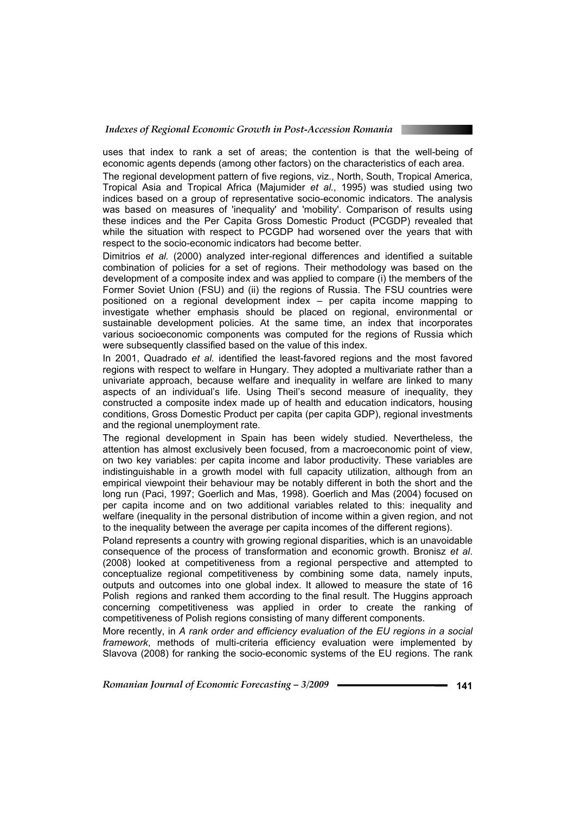

uses that index to rank a set of areas; the contention is that the well-being of economic agents depends (among other factors) on the characteristics of each area.

The regional development pattern of five regions, viz., North, South, Tropical America, Tropical Asia and Tropical Africa (Majumider *et al.*, 1995) was studied using two indices based on a group of representative socio-economic indicators. The analysis was based on measures of 'inequality' and 'mobility'. Comparison of results using these indices and the Per Capita Gross Domestic Product (PCGDP) revealed that while the situation with respect to PCGDP had worsened over the years that with respect to the socio-economic indicators had become better.

Dimitrios *et al.* (2000) analyzed inter-regional differences and identified a suitable combination of policies for a set of regions. Their methodology was based on the development of a composite index and was applied to compare (i) the members of the Former Soviet Union (FSU) and (ii) the regions of Russia. The FSU countries were positioned on a regional development index – per capita income mapping to investigate whether emphasis should be placed on regional, environmental or sustainable development policies. At the same time, an index that incorporates various socioeconomic components was computed for the regions of Russia which were subsequently classified based on the value of this index.

In 2001, Quadrado *et al.* identified the least-favored regions and the most favored regions with respect to welfare in Hungary. They adopted a multivariate rather than a univariate approach, because welfare and inequality in welfare are linked to many aspects of an individual's life. Using Theil's second measure of inequality, they constructed a composite index made up of health and education indicators, housing conditions, Gross Domestic Product per capita (per capita GDP), regional investments and the regional unemployment rate.

The regional development in Spain has been widely studied. Nevertheless, the attention has almost exclusively been focused, from a macroeconomic point of view, on two key variables: per capita income and labor productivity. These variables are indistinguishable in a growth model with full capacity utilization, although from an empirical viewpoint their behaviour may be notably different in both the short and the long run (Paci, 1997; Goerlich and Mas, 1998). Goerlich and Mas (2004) focused on per capita income and on two additional variables related to this: inequality and welfare (inequality in the personal distribution of income within a given region, and not to the inequality between the average per capita incomes of the different regions).

Poland represents a country with growing regional disparities, which is an unavoidable consequence of the process of transformation and economic growth. Bronisz *et al*. (2008) looked at competitiveness from a regional perspective and attempted to conceptualize regional competitiveness by combining some data, namely inputs, outputs and outcomes into one global index. It allowed to measure the state of 16 Polish regions and ranked them according to the final result. The Huggins approach concerning competitiveness was applied in order to create the ranking of competitiveness of Polish regions consisting of many different components.

More recently, in *A rank order and efficiency evaluation of the EU regions in a social framework*, methods of multi-criteria efficiency evaluation were implemented by Slavova (2008) for ranking the socio-economic systems of the EU regions. The rank

*Romanian Journal of Economic Forecasting – 3/2009* **- • • • • • • • • • • • 141**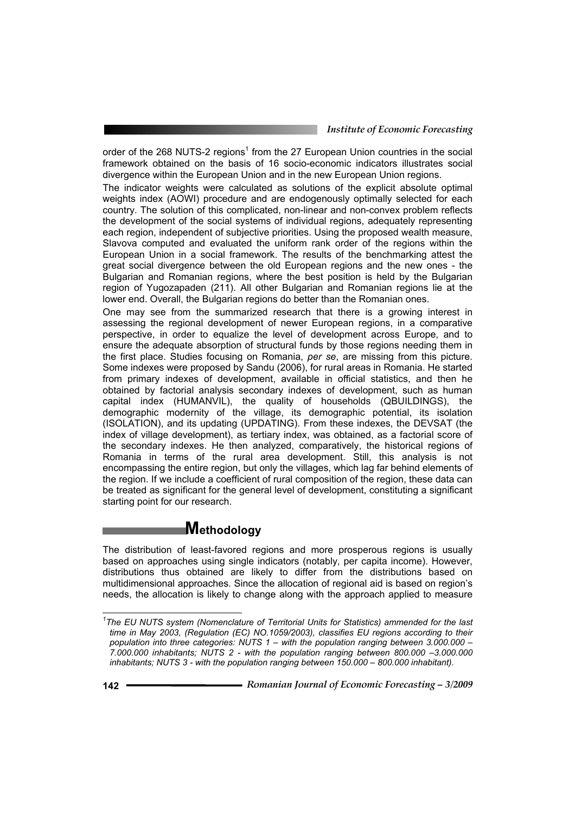order of the 268 NUTS-2 regions<sup>1</sup> from the 27 European Union countries in the social framework obtained on the basis of 16 socio-economic indicators illustrates social divergence within the European Union and in the new European Union regions.

The indicator weights were calculated as solutions of the explicit absolute optimal weights index (AOWI) procedure and are endogenously optimally selected for each country. The solution of this complicated, non-linear and non-convex problem reflects the development of the social systems of individual regions, adequately representing each region, independent of subjective priorities. Using the proposed wealth measure, Slavova computed and evaluated the uniform rank order of the regions within the European Union in a social framework. The results of the benchmarking attest the great social divergence between the old European regions and the new ones - the Bulgarian and Romanian regions, where the best position is held by the Bulgarian region of Yugozapaden (211). All other Bulgarian and Romanian regions lie at the lower end. Overall, the Bulgarian regions do better than the Romanian ones.

One may see from the summarized research that there is a growing interest in assessing the regional development of newer European regions, in a comparative perspective, in order to equalize the level of development across Europe, and to ensure the adequate absorption of structural funds by those regions needing them in the first place. Studies focusing on Romania, *per se*, are missing from this picture. Some indexes were proposed by Sandu (2006), for rural areas in Romania. He started from primary indexes of development, available in official statistics, and then he obtained by factorial analysis secondary indexes of development, such as human capital index (HUMANVIL), the quality of households (QBUILDINGS), the demographic modernity of the village, its demographic potential, its isolation (ISOLATION), and its updating (UPDATING). From these indexes, the DEVSAT (the index of village development), as tertiary index, was obtained, as a factorial score of the secondary indexes. He then analyzed, comparatively, the historical regions of Romania in terms of the rural area development. Still, this analysis is not encompassing the entire region, but only the villages, which lag far behind elements of the region. If we include a coefficient of rural composition of the region, these data can be treated as significant for the general level of development, constituting a significant starting point for our research.

# **Methodology**

The distribution of least-favored regions and more prosperous regions is usually based on approaches using single indicators (notably, per capita income). However, distributions thus obtained are likely to differ from the distributions based on multidimensional approaches. Since the allocation of regional aid is based on region's needs, the allocation is likely to change along with the approach applied to measure

 *1 The EU NUTS system (Nomenclature of Territorial Units for Statistics) ammended for the last time in May 2003, (Regulation (EC) NO.1059/2003), classifies EU regions according to their population into three categories: NUTS 1 – with the population ranging between 3.000.000 – 7.000.000 inhabitants; NUTS 2 - with the population ranging between 800.000 –3.000.000 inhabitants; NUTS 3 - with the population ranging between 150.000 – 800.000 inhabitant).*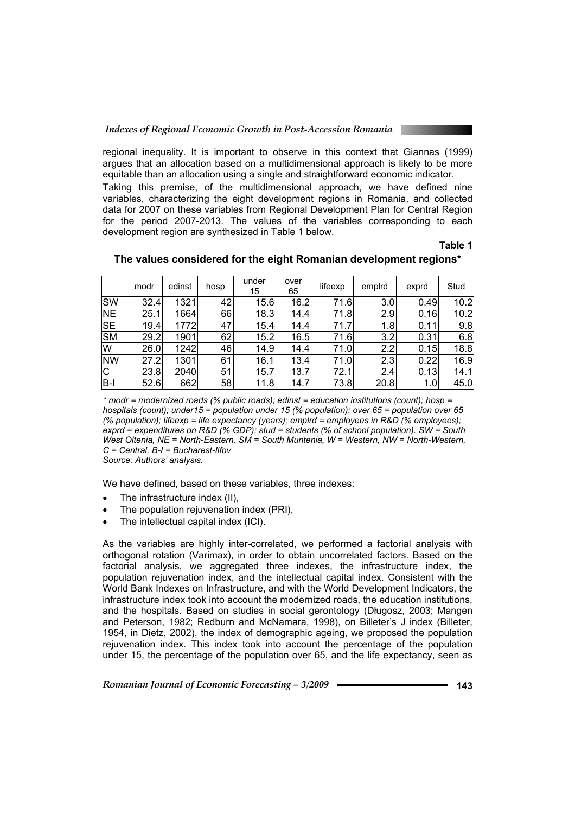regional inequality. It is important to observe in this context that Giannas (1999) argues that an allocation based on a multidimensional approach is likely to be more equitable than an allocation using a single and straightforward economic indicator.

Taking this premise, of the multidimensional approach, we have defined nine variables, characterizing the eight development regions in Romania, and collected data for 2007 on these variables from Regional Development Plan for Central Region for the period 2007-2013. The values of the variables corresponding to each development region are synthesized in Table 1 below.

## **Table 1**

|           | modr | edinst | hosp | under<br>15 | over<br>65 | lifeexp | empird | exprd | Stud |
|-----------|------|--------|------|-------------|------------|---------|--------|-------|------|
| <b>SW</b> | 32.4 | 1321   | 42   | 15.6        | 16.2       | 71.6    | 3.0    | 0.49  | 10.2 |
| <b>NE</b> | 25.1 | 1664   | 66   | 18.3        | 14.4       | 71.8    | 2.9    | 0.16  | 10.2 |
| <b>SE</b> | 19.4 | 1772   | 47   | 15.4        | 14.4       | 71.7    | 1.8    | 0.11  | 9.8  |
| <b>SM</b> | 29.2 | 1901   | 62   | 15.2        | 16.5       | 71.6    | 3.2    | 0.31  | 6.8  |
| W         | 26.0 | 1242   | 46   | 14.9        | 14.4       | 71.0    | 2.2    | 0.15  | 18.8 |
| <b>NW</b> | 27.2 | 1301   | 61   | 16.1        | 13.4       | 71.0    | 2.3    | 0.22  | 16.9 |
| IС        | 23.8 | 2040   | 51   | 15.71       | 13.7       | 72.1    | 2.4    | 0.13  | 14.1 |
| B-l       | 52.6 | 662    | 58   | 11.8        | 14.7       | 73.8    | 20.8   | 1.0   | 45.0 |

## **The values considered for the eight Romanian development regions\***

*\* modr = modernized roads (% public roads); edinst = education institutions (count); hosp = hospitals (count); under15 = population under 15 (% population); over 65 = population over 65 (% population); lifeexp = life expectancy (years); emplrd = employees in R&D (% employees); exprd = expenditures on R&D (% GDP); stud = students (% of school population). SW = South West Oltenia, NE = North-Eastern, SM = South Muntenia, W = Western, NW = North-Western, C = Central, B-I = Bucharest-Ilfov Source: Authors' analysis.* 

We have defined, based on these variables, three indexes:

- The infrastructure index (II),
- The population rejuvenation index (PRI),
- The intellectual capital index (ICI).

As the variables are highly inter-correlated, we performed a factorial analysis with orthogonal rotation (Varimax), in order to obtain uncorrelated factors. Based on the factorial analysis, we aggregated three indexes, the infrastructure index, the population rejuvenation index, and the intellectual capital index. Consistent with the World Bank Indexes on Infrastructure, and with the World Development Indicators, the infrastructure index took into account the modernized roads, the education institutions, and the hospitals. Based on studies in social gerontology (Długosz, 2003; Mangen and Peterson, 1982; Redburn and McNamara, 1998), on Billeter's J index (Billeter, 1954, in Dietz, 2002), the index of demographic ageing, we proposed the population rejuvenation index. This index took into account the percentage of the population under 15, the percentage of the population over 65, and the life expectancy, seen as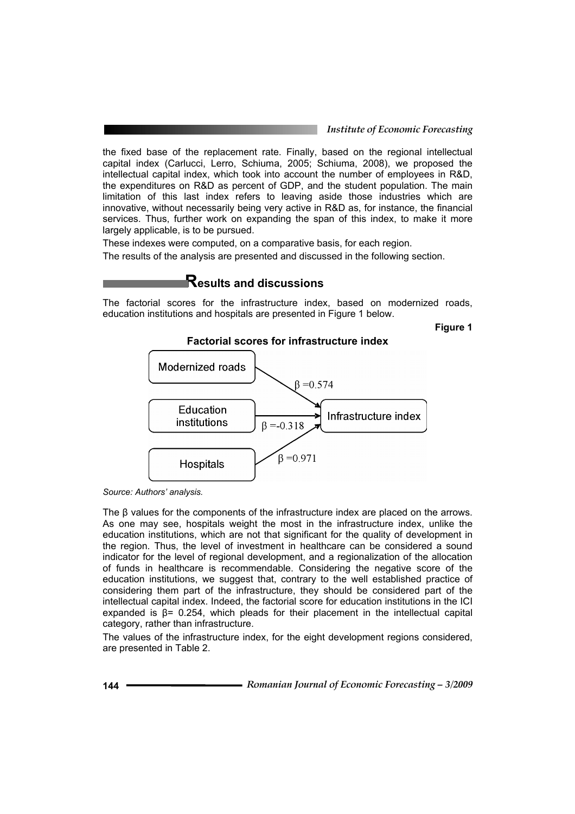#### *Institute of Economic Forecasting*

the fixed base of the replacement rate. Finally, based on the regional intellectual capital index (Carlucci, Lerro, Schiuma, 2005; Schiuma, 2008), we proposed the intellectual capital index, which took into account the number of employees in R&D, the expenditures on R&D as percent of GDP, and the student population. The main limitation of this last index refers to leaving aside those industries which are innovative, without necessarily being very active in R&D as, for instance, the financial services. Thus, further work on expanding the span of this index, to make it more largely applicable, is to be pursued.

These indexes were computed, on a comparative basis, for each region.

The results of the analysis are presented and discussed in the following section.

# **Results and discussions**

The factorial scores for the infrastructure index, based on modernized roads, education institutions and hospitals are presented in Figure 1 below.

**Figure 1** 



## **Factorial scores for infrastructure index**

The β values for the components of the infrastructure index are placed on the arrows. As one may see, hospitals weight the most in the infrastructure index, unlike the education institutions, which are not that significant for the quality of development in the region. Thus, the level of investment in healthcare can be considered a sound indicator for the level of regional development, and a regionalization of the allocation of funds in healthcare is recommendable. Considering the negative score of the education institutions, we suggest that, contrary to the well established practice of considering them part of the infrastructure, they should be considered part of the intellectual capital index. Indeed, the factorial score for education institutions in the ICI expanded is  $\beta$ = 0.254, which pleads for their placement in the intellectual capital category, rather than infrastructure.

The values of the infrastructure index, for the eight development regions considered, are presented in Table 2.

*Source: Authors' analysis.*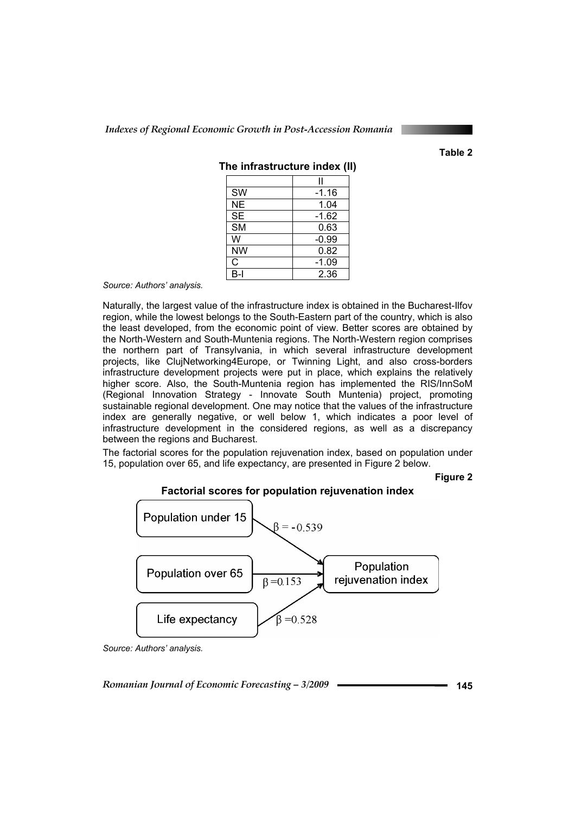**Table 2** 

| <b>SW</b> | $-1.16$ |
|-----------|---------|
| <b>NE</b> | 1.04    |
| <b>SE</b> | $-1.62$ |
| <b>SM</b> | 0.63    |
| W         | $-0.99$ |
| <b>NW</b> | 0.82    |
| C         | $-1.09$ |
| R-I       | 2.36    |

**The infrastructure index (II)** 

*Source: Authors' analysis.* 

Naturally, the largest value of the infrastructure index is obtained in the Bucharest-Ilfov region, while the lowest belongs to the South-Eastern part of the country, which is also the least developed, from the economic point of view. Better scores are obtained by the North-Western and South-Muntenia regions. The North-Western region comprises the northern part of Transylvania, in which several infrastructure development projects, like ClujNetworking4Europe, or Twinning Light, and also cross-borders infrastructure development projects were put in place, which explains the relatively higher score. Also, the South-Muntenia region has implemented the RIS/InnSoM (Regional Innovation Strategy - Innovate South Muntenia) project, promoting sustainable regional development. One may notice that the values of the infrastructure index are generally negative, or well below 1, which indicates a poor level of infrastructure development in the considered regions, as well as a discrepancy between the regions and Bucharest.

The factorial scores for the population rejuvenation index, based on population under 15, population over 65, and life expectancy, are presented in Figure 2 below.

**Figure 2** 



*Source: Authors' analysis.*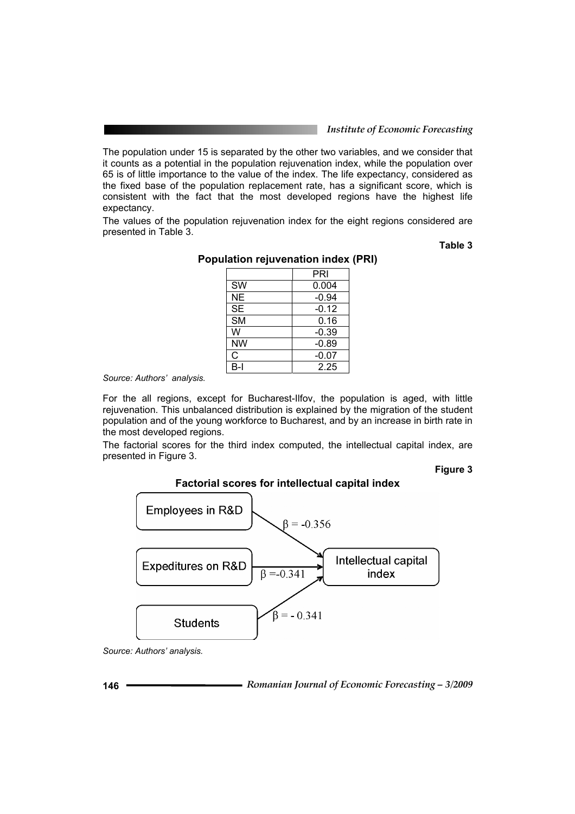#### *Institute of Economic Forecasting*

The population under 15 is separated by the other two variables, and we consider that it counts as a potential in the population rejuvenation index, while the population over 65 is of little importance to the value of the index. The life expectancy, considered as the fixed base of the population replacement rate, has a significant score, which is consistent with the fact that the most developed regions have the highest life expectancy.

The values of the population rejuvenation index for the eight regions considered are presented in Table 3.

**Table 3** 

|           | PRI     |
|-----------|---------|
| <b>SW</b> | 0.004   |
| <b>NE</b> | $-0.94$ |
| <b>SE</b> | $-0.12$ |
| <b>SM</b> | 0.16    |
| W         | $-0.39$ |
| <b>NW</b> | $-0.89$ |
| C         | $-0.07$ |
| B-l       | 2.25    |

# **Population rejuvenation index (PRI)**

*Source: Authors' analysis.* 

For the all regions, except for Bucharest-Ilfov, the population is aged, with little rejuvenation. This unbalanced distribution is explained by the migration of the student population and of the young workforce to Bucharest, and by an increase in birth rate in the most developed regions.

The factorial scores for the third index computed, the intellectual capital index, are presented in Figure 3.

#### **Figure 3**



**Factorial scores for intellectual capital index** 

*Source: Authors' analysis.*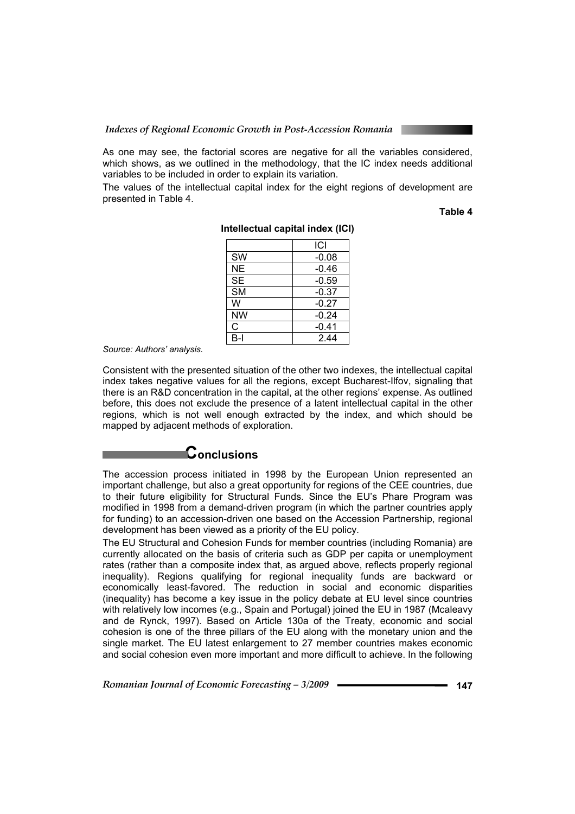As one may see, the factorial scores are negative for all the variables considered, which shows, as we outlined in the methodology, that the IC index needs additional variables to be included in order to explain its variation.

The values of the intellectual capital index for the eight regions of development are presented in Table 4.

**Table 4** 

|           | ICI     |
|-----------|---------|
| <b>SW</b> | $-0.08$ |
| <b>NE</b> | $-0.46$ |
| <b>SE</b> | $-0.59$ |
| <b>SM</b> | $-0.37$ |
| W         | $-0.27$ |
| NW        | $-0.24$ |
| С         | $-0.41$ |
| R-I       | 244     |

#### **Intellectual capital index (ICI)**

*Source: Authors' analysis.* 

Consistent with the presented situation of the other two indexes, the intellectual capital index takes negative values for all the regions, except Bucharest-Ilfov, signaling that there is an R&D concentration in the capital, at the other regions' expense. As outlined before, this does not exclude the presence of a latent intellectual capital in the other regions, which is not well enough extracted by the index, and which should be mapped by adjacent methods of exploration.

# **Conclusions**

The accession process initiated in 1998 by the European Union represented an important challenge, but also a great opportunity for regions of the CEE countries, due to their future eligibility for Structural Funds. Since the EU's Phare Program was modified in 1998 from a demand-driven program (in which the partner countries apply for funding) to an accession-driven one based on the Accession Partnership, regional development has been viewed as a priority of the EU policy.

The EU Structural and Cohesion Funds for member countries (including Romania) are currently allocated on the basis of criteria such as GDP per capita or unemployment rates (rather than a composite index that, as argued above, reflects properly regional inequality). Regions qualifying for regional inequality funds are backward or economically least-favored. The reduction in social and economic disparities (inequality) has become a key issue in the policy debate at EU level since countries with relatively low incomes (e.g., Spain and Portugal) joined the EU in 1987 (Mcaleavy and de Rynck, 1997). Based on Article 130a of the Treaty, economic and social cohesion is one of the three pillars of the EU along with the monetary union and the single market. The EU latest enlargement to 27 member countries makes economic and social cohesion even more important and more difficult to achieve. In the following

*Romanian Journal of Economic Forecasting – 3/2009* **- • • • • • • • • • • 147**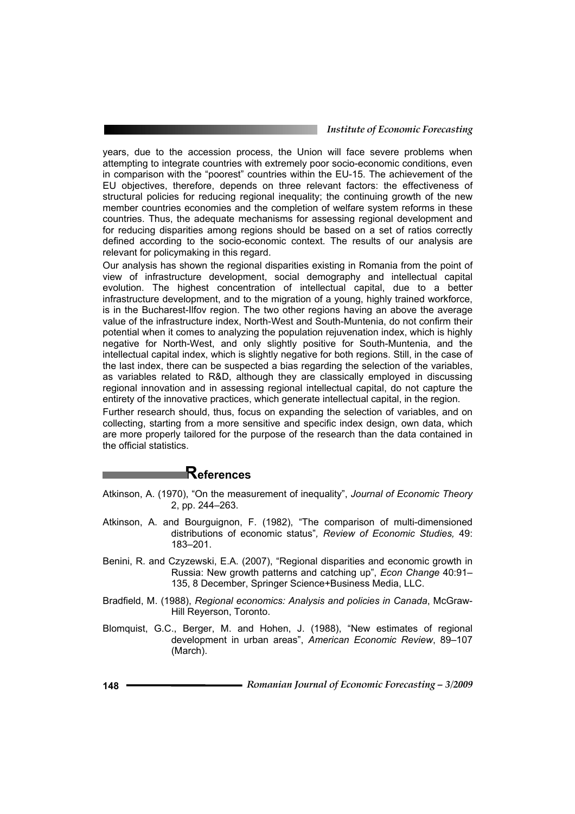#### *Institute of Economic Forecasting*

years, due to the accession process, the Union will face severe problems when attempting to integrate countries with extremely poor socio-economic conditions, even in comparison with the "poorest" countries within the EU-15. The achievement of the EU objectives, therefore, depends on three relevant factors: the effectiveness of structural policies for reducing regional inequality; the continuing growth of the new member countries economies and the completion of welfare system reforms in these countries. Thus, the adequate mechanisms for assessing regional development and for reducing disparities among regions should be based on a set of ratios correctly defined according to the socio-economic context. The results of our analysis are relevant for policymaking in this regard.

Our analysis has shown the regional disparities existing in Romania from the point of view of infrastructure development, social demography and intellectual capital evolution. The highest concentration of intellectual capital, due to a better infrastructure development, and to the migration of a young, highly trained workforce, is in the Bucharest-Ilfov region. The two other regions having an above the average value of the infrastructure index, North-West and South-Muntenia, do not confirm their potential when it comes to analyzing the population rejuvenation index, which is highly negative for North-West, and only slightly positive for South-Muntenia, and the intellectual capital index, which is slightly negative for both regions. Still, in the case of the last index, there can be suspected a bias regarding the selection of the variables, as variables related to R&D, although they are classically employed in discussing regional innovation and in assessing regional intellectual capital, do not capture the entirety of the innovative practices, which generate intellectual capital, in the region.

Further research should, thus, focus on expanding the selection of variables, and on collecting, starting from a more sensitive and specific index design, own data, which are more properly tailored for the purpose of the research than the data contained in the official statistics.

# **References**

Atkinson, A. (1970), "On the measurement of inequality", *Journal of Economic Theory* 2, pp. 244–263.

- Atkinson, A. and Bourguignon, F. (1982), "The comparison of multi-dimensioned distributions of economic status"*, Review of Economic Studies,* 49: 183–201.
- Benini, R. and Czyzewski, E.A. (2007), "Regional disparities and economic growth in Russia: New growth patterns and catching up", *Econ Change* 40:91– 135, 8 December, Springer Science+Business Media, LLC.
- Bradfield, M. (1988), *Regional economics: Analysis and policies in Canada*, McGraw-Hill Reyerson, Toronto.
- Blomquist, G.C., Berger, M. and Hohen, J. (1988), "New estimates of regional development in urban areas", *American Economic Review*, 89–107 (March).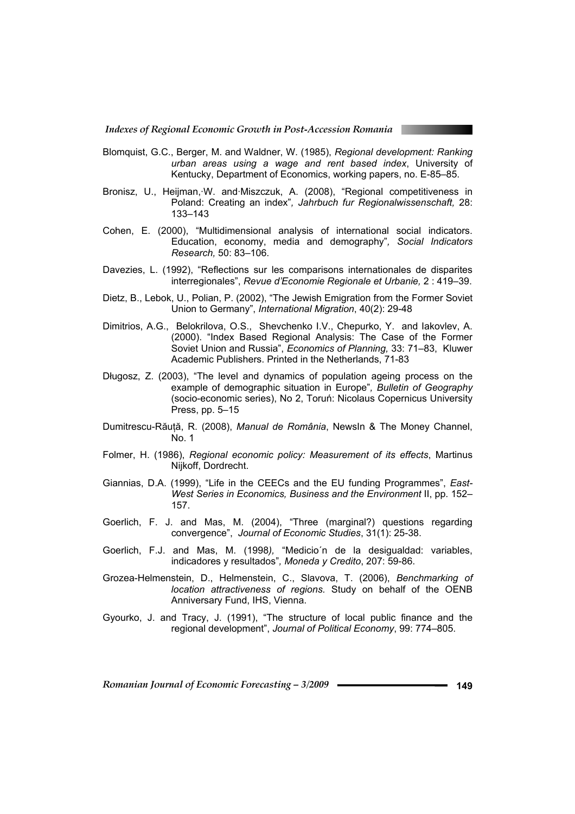- Blomquist, G.C., Berger, M. and Waldner, W. (1985), *Regional development: Ranking urban areas using a wage and rent based index*, University of Kentucky, Department of Economics, working papers, no. E-85–85.
- Bronisz, U., Heijman,·W. and·Miszczuk, A. (2008), "Regional competitiveness in Poland: Creating an index"*, Jahrbuch fur Regionalwissenschaft,* 28: 133–143
- Cohen, E. (2000), "Multidimensional analysis of international social indicators. Education, economy, media and demography"*, Social Indicators Research,* 50: 83–106.
- Davezies, L. (1992), "Reflections sur les comparisons internationales de disparites interregionales", *Revue d'Economie Regionale et Urbanie,* 2 : 419–39.
- Dietz, B., Lebok, U., Polian, P. (2002), "The Jewish Emigration from the Former Soviet Union to Germany", *International Migration*, 40(2): 29-48
- Dimitrios, A.G., Belokrilova, O.S., Shevchenko I.V., Chepurko, Y. and Iakovlev, A. (2000). "Index Based Regional Analysis: The Case of the Former Soviet Union and Russia", *Economics of Planning,* 33: 71–83, Kluwer Academic Publishers. Printed in the Netherlands, 71-83
- Długosz, Z. (2003), "The level and dynamics of population ageing process on the example of demographic situation in Europe"*, Bulletin of Geography* (socio-economic series), No 2, Toruń: Nicolaus Copernicus University Press, pp. 5–15
- Dumitrescu-Răuţă, R. (2008), *Manual de România*, NewsIn & The Money Channel, No. 1
- Folmer, H. (1986), *Regional economic policy: Measurement of its effects*, Martinus Nijkoff, Dordrecht.
- Giannias, D.A. (1999), "Life in the CEECs and the EU funding Programmes", *East-West Series in Economics, Business and the Environment* II, pp. 152– 157.
- Goerlich, F. J. and Mas, M. (2004), "Three (marginal?) questions regarding convergence", *Journal of Economic Studies*, 31(1): 25-38.
- Goerlich, F.J. and Mas, M. (1998*),* "Medicio´n de la desigualdad: variables, indicadores y resultados"*, Moneda y Credito*, 207: 59-86.
- Grozea-Helmenstein, D., Helmenstein, C., Slavova, T. (2006), *Benchmarking of location attractiveness of regions.* Study on behalf of the OENB Anniversary Fund, IHS, Vienna.
- Gyourko, J. and Tracy, J. (1991), "The structure of local public finance and the regional development", *Journal of Political Economy*, 99: 774–805.

*Romanian Journal of Economic Forecasting – 3/2009* **12000 <b>149 149**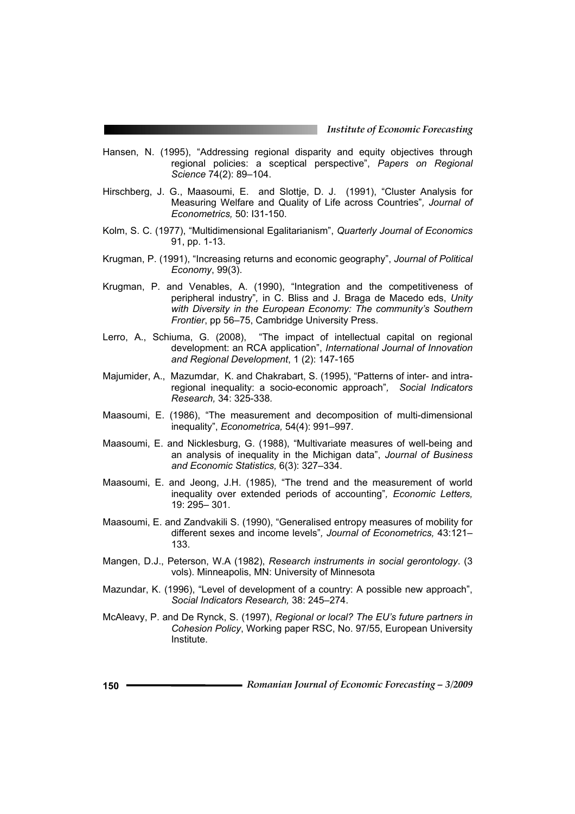- Hansen, N. (1995), "Addressing regional disparity and equity objectives through regional policies: a sceptical perspective", *Papers on Regional Science* 74(2): 89–104.
- Hirschberg, J. G., Maasoumi, E. and Slottje, D. J. (1991), "Cluster Analysis for Measuring Welfare and Quality of Life across Countries"*, Journal of Econometrics,* 50: I31-150.
- Kolm, S. C. (1977), "Multidimensional Egalitarianism", *Quarterly Journal of Economics* 91, pp. 1-13.
- Krugman, P. (1991), "Increasing returns and economic geography", *Journal of Political Economy*, 99(3).
- Krugman, P. and Venables, A. (1990), "Integration and the competitiveness of peripheral industry"*,* in C. Bliss and J. Braga de Macedo eds, *Unity with Diversity in the European Economy: The community's Southern Frontier*, pp 56–75, Cambridge University Press.
- Lerro, A., Schiuma, G. (2008), "The impact of intellectual capital on regional development: an RCA application", *International Journal of Innovation and Regional Development*, 1 (2): 147-165
- Majumider, A., Mazumdar, K. and Chakrabart, S. (1995), "Patterns of inter- and intraregional inequality: a socio-economic approach"*, Social Indicators Research,* 34: 325-338*.*
- Maasoumi, E. (1986), "The measurement and decomposition of multi-dimensional inequality", *Econometrica,* 54(4): 991–997.
- Maasoumi, E. and Nicklesburg, G. (1988), "Multivariate measures of well-being and an analysis of inequality in the Michigan data", *Journal of Business and Economic Statistics,* 6(3): 327–334.
- Maasoumi, E. and Jeong, J.H. (1985), "The trend and the measurement of world inequality over extended periods of accounting"*, Economic Letters,* 19: 295– 301.
- Maasoumi, E. and Zandvakili S. (1990), "Generalised entropy measures of mobility for different sexes and income levels"*, Journal of Econometrics,* 43:121– 133.
- Mangen, D.J., Peterson, W.A (1982), *Research instruments in social gerontology*. (3 vols). Minneapolis, MN: University of Minnesota
- Mazundar, K. (1996), "Level of development of a country: A possible new approach", *Social Indicators Research,* 38: 245–274.
- McAleavy, P. and De Rynck, S. (1997), *Regional or local? The EU's future partners in Cohesion Policy*, Working paper RSC, No. 97/55, European University Institute.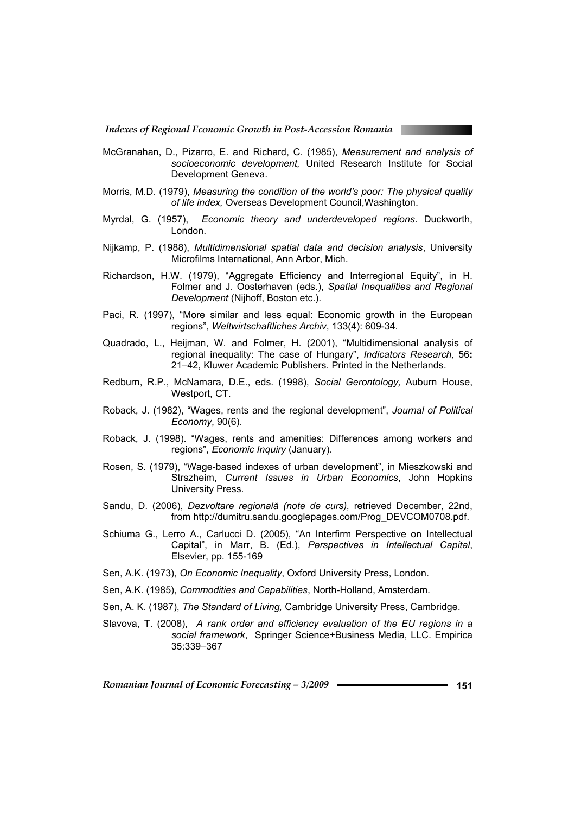- McGranahan, D., Pizarro, E. and Richard, C. (1985), *Measurement and analysis of socioeconomic development,* United Research Institute for Social Development Geneva.
- Morris, M.D. (1979), *Measuring the condition of the world's poor: The physical quality of life index,* Overseas Development Council,Washington.
- Myrdal, G. (1957), *Economic theory and underdeveloped regions*. Duckworth, London.
- Nijkamp, P. (1988), *Multidimensional spatial data and decision analysis*, University Microfilms International, Ann Arbor, Mich.
- Richardson, H.W. (1979), "Aggregate Efficiency and Interregional Equity", in H. Folmer and J. Oosterhaven (eds.), *Spatial Inequalities and Regional Development* (Nijhoff, Boston etc.).
- Paci, R. (1997), "More similar and less equal: Economic growth in the European regions", *Weltwirtschaftliches Archiv*, 133(4): 609-34.
- Quadrado, L., Heijman, W. and Folmer, H. (2001), "Multidimensional analysis of regional inequality: The case of Hungary", *Indicators Research,* 56**:**  21–42, Kluwer Academic Publishers. Printed in the Netherlands.
- Redburn, R.P., McNamara, D.E., eds. (1998), *Social Gerontology,* Auburn House, Westport, CT.
- Roback, J. (1982), "Wages, rents and the regional development", *Journal of Political Economy*, 90(6).
- Roback, J. (1998). "Wages, rents and amenities: Differences among workers and regions", *Economic Inquiry* (January).
- Rosen, S. (1979), "Wage-based indexes of urban development", in Mieszkowski and Strszheim, *Current Issues in Urban Economics*, John Hopkins University Press.
- Sandu, D. (2006), *Dezvoltare regională (note de curs),* retrieved December, 22nd, from http://dumitru.sandu.googlepages.com/Prog\_DEVCOM0708.pdf.
- Schiuma G., Lerro A., Carlucci D. (2005), "An Interfirm Perspective on Intellectual Capital", in Marr, B. (Ed.), *Perspectives in Intellectual Capital*, Elsevier, pp. 155-169
- Sen, A.K. (1973), *On Economic Inequality*, Oxford University Press, London.
- Sen, A.K. (1985), *Commodities and Capabilities*, North-Holland, Amsterdam.
- Sen, A. K. (1987), *The Standard of Living,* Cambridge University Press, Cambridge.
- Slavova, T. (2008), *A rank order and efficiency evaluation of the EU regions in a social framework*, Springer Science+Business Media, LLC. Empirica 35:339–367